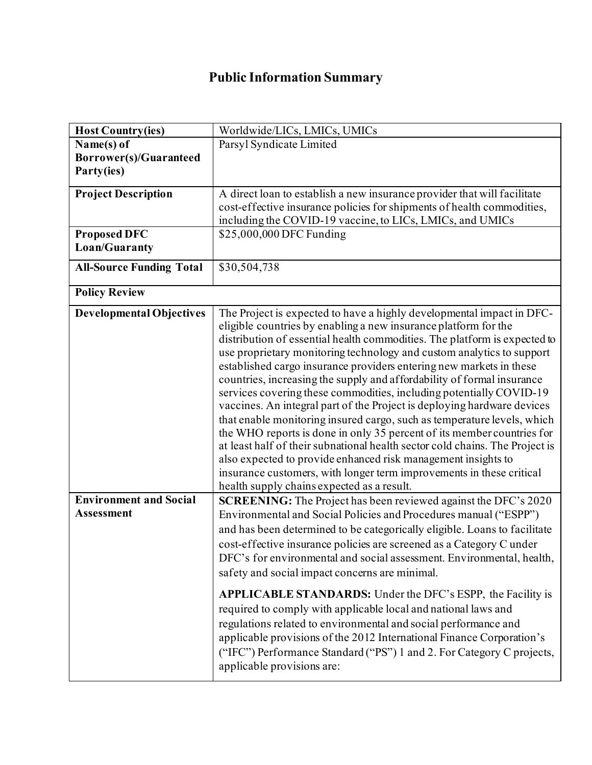## **Public Information Summary**

| <b>Host Country(ies)</b>        | Worldwide/LICs, LMICs, UMICs                                                 |
|---------------------------------|------------------------------------------------------------------------------|
| Name(s) of                      | Parsyl Syndicate Limited                                                     |
| Borrower(s)/Guaranteed          |                                                                              |
| Party(ies)                      |                                                                              |
| <b>Project Description</b>      | A direct loan to establish a new insurance provider that will facilitate     |
|                                 | cost-effective insurance policies for shipments of health commodities,       |
|                                 | including the COVID-19 vaccine, to LICs, LMICs, and UMICs                    |
| <b>Proposed DFC</b>             | \$25,000,000 DFC Funding                                                     |
| Loan/Guaranty                   |                                                                              |
|                                 |                                                                              |
| <b>All-Source Funding Total</b> | \$30,504,738                                                                 |
|                                 |                                                                              |
| <b>Policy Review</b>            |                                                                              |
| <b>Developmental Objectives</b> | The Project is expected to have a highly developmental impact in DFC-        |
|                                 | eligible countries by enabling a new insurance platform for the              |
|                                 | distribution of essential health commodities. The platform is expected to    |
|                                 | use proprietary monitoring technology and custom analytics to support        |
|                                 | established cargo insurance providers entering new markets in these          |
|                                 | countries, increasing the supply and affordability of formal insurance       |
|                                 | services covering these commodities, including potentially COVID-19          |
|                                 | vaccines. An integral part of the Project is deploying hardware devices      |
|                                 | that enable monitoring insured cargo, such as temperature levels, which      |
|                                 | the WHO reports is done in only 35 percent of its member countries for       |
|                                 | at least half of their subnational health sector cold chains. The Project is |
|                                 | also expected to provide enhanced risk management insights to                |
|                                 | insurance customers, with longer term improvements in these critical         |
|                                 | health supply chains expected as a result.                                   |
| <b>Environment and Social</b>   | <b>SCREENING:</b> The Project has been reviewed against the DFC's 2020       |
| <b>Assessment</b>               | Environmental and Social Policies and Procedures manual ("ESPP")             |
|                                 | and has been determined to be categorically eligible. Loans to facilitate    |
|                                 | cost-effective insurance policies are screened as a Category C under         |
|                                 | DFC's for environmental and social assessment. Environmental, health,        |
|                                 | safety and social impact concerns are minimal.                               |
|                                 |                                                                              |
|                                 | <b>APPLICABLE STANDARDS:</b> Under the DFC's ESPP, the Facility is           |
|                                 | required to comply with applicable local and national laws and               |
|                                 | regulations related to environmental and social performance and              |
|                                 | applicable provisions of the 2012 International Finance Corporation's        |
|                                 | ("IFC") Performance Standard ("PS") 1 and 2. For Category C projects,        |
|                                 | applicable provisions are:                                                   |
|                                 |                                                                              |